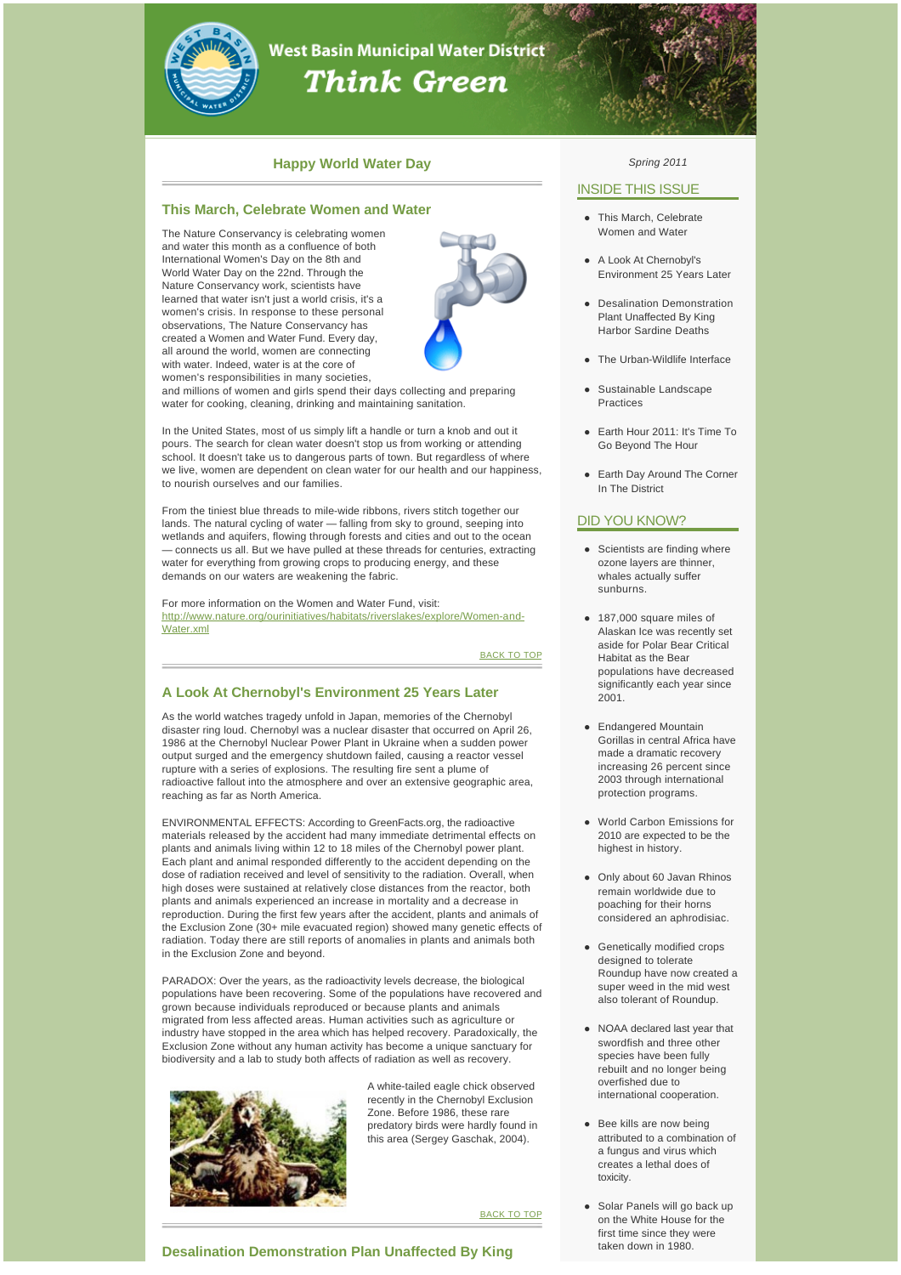

# **West Basin Municipal Water District Think Green**

# **Happy World Water Day**

## **This March, Celebrate Women and Water**

The Nature Conservancy is celebrating women and water this month as a confluence of both International Women's Day on the 8th and World Water Day on the 22nd. Through the Nature Conservancy work, scientists have learned that water isn't just a world crisis, it's a women's crisis. In response to these personal observations, The Nature Conservancy has created a Women and Water Fund. Every day, all around the world, women are connecting with water. Indeed, water is at the core of women's responsibilities in many societies,



and millions of women and girls spend their days collecting and preparing water for cooking, cleaning, drinking and maintaining sanitation.

In the United States, most of us simply lift a handle or turn a knob and out it pours. The search for clean water doesn't stop us from working or attending school. It doesn't take us to dangerous parts of town. But regardless of where we live, women are dependent on clean water for our health and our happiness, to nourish ourselves and our families.

From the tiniest blue threads to mile-wide ribbons, rivers stitch together our lands. The natural cycling of water — falling from sky to ground, seeping into wetlands and aquifers, flowing through forests and cities and out to the ocean — connects us all. But we have pulled at these threads for centuries, extracting water for everything from growing crops to producing energy, and these demands on our waters are weakening the fabric.

For more information on the Women and Water Fund, visit: [http://www.nature.org/ourinitiatives/habitats/riverslakes/explore/Women-and-](http://westbasinmunicipalwaterdistrict.createsend1.com/t/r/l/jlkhtdy/l/y/)Water.xml

**BACK TO TOP** 

# **A Look At Chernobyl's Environment 25 Years Later**

As the world watches tragedy unfold in Japan, memories of the Chernobyl disaster ring loud. Chernobyl was a nuclear disaster that occurred on April 26, 1986 at the Chernobyl Nuclear Power Plant in Ukraine when a sudden power output surged and the emergency shutdown failed, causing a reactor vessel rupture with a series of explosions. The resulting fire sent a plume of radioactive fallout into the atmosphere and over an extensive geographic area, reaching as far as North America.

ENVIRONMENTAL EFFECTS: According to GreenFacts.org, the radioactive materials released by the accident had many immediate detrimental effects on plants and animals living within 12 to 18 miles of the Chernobyl power plant. Each plant and animal responded differently to the accident depending on the dose of radiation received and level of sensitivity to the radiation. Overall, when high doses were sustained at relatively close distances from the reactor, both plants and animals experienced an increase in mortality and a decrease in reproduction. During the first few years after the accident, plants and animals of the Exclusion Zone (30+ mile evacuated region) showed many genetic effects of radiation. Today there are still reports of anomalies in plants and animals both in the Exclusion Zone and beyond.

PARADOX: Over the years, as the radioactivity levels decrease, the biological populations have been recovering. Some of the populations have recovered and grown because individuals reproduced or because plants and animals migrated from less affected areas. Human activities such as agriculture or industry have stopped in the area which has helped recovery. Paradoxically, the Exclusion Zone without any human activity has become a unique sanctuary for biodiversity and a lab to study both affects of radiation as well as recovery.



A white-tailed eagle chick observed recently in the Chernobyl Exclusion Zone. Before 1986, these rare predatory birds were hardly found in this area (Sergey Gaschak, 2004).

**BACK TO TOP** 

## *Spring 2011*

# INSIDE THIS ISSUE

- This March, Celebrate Women and Water
- A Look At Chernobyl's Environment 25 Years Later
- Desalination Demonstration Plant Unaffected By King Harbor Sardine Deaths
- The Urban-Wildlife Interface
- Sustainable Landscape Practices
- Earth Hour 2011: It's Time To Go Beyond The Hour
- Earth Day Around The Corner In The District

# DID YOU KNOW?

- Scientists are finding where ozone layers are thinner, whales actually suffer sunburns.
- $\bullet$  187,000 square miles of Alaskan Ice was recently set aside for Polar Bear Critical Habitat as the Bear populations have decreased significantly each year since 2001.
- Endangered Mountain Gorillas in central Africa have made a dramatic recovery increasing 26 percent since 2003 through international protection programs.
- World Carbon Emissions for 2010 are expected to be the highest in history.
- Only about 60 Javan Rhinos remain worldwide due to poaching for their horns considered an aphrodisiac.
- Genetically modified crops designed to tolerate Roundup have now created a super weed in the mid west also tolerant of Roundup.
- NOAA declared last year that swordfish and three other species have been fully rebuilt and no longer being overfished due to international cooperation.
- **Bee kills are now being** attributed to a combination of a fungus and virus which creates a lethal does of toxicity.
- Solar Panels will go back up on the White House for the first time since they were taken down in 1980.

**Desalination Demonstration Plan Unaffected By King**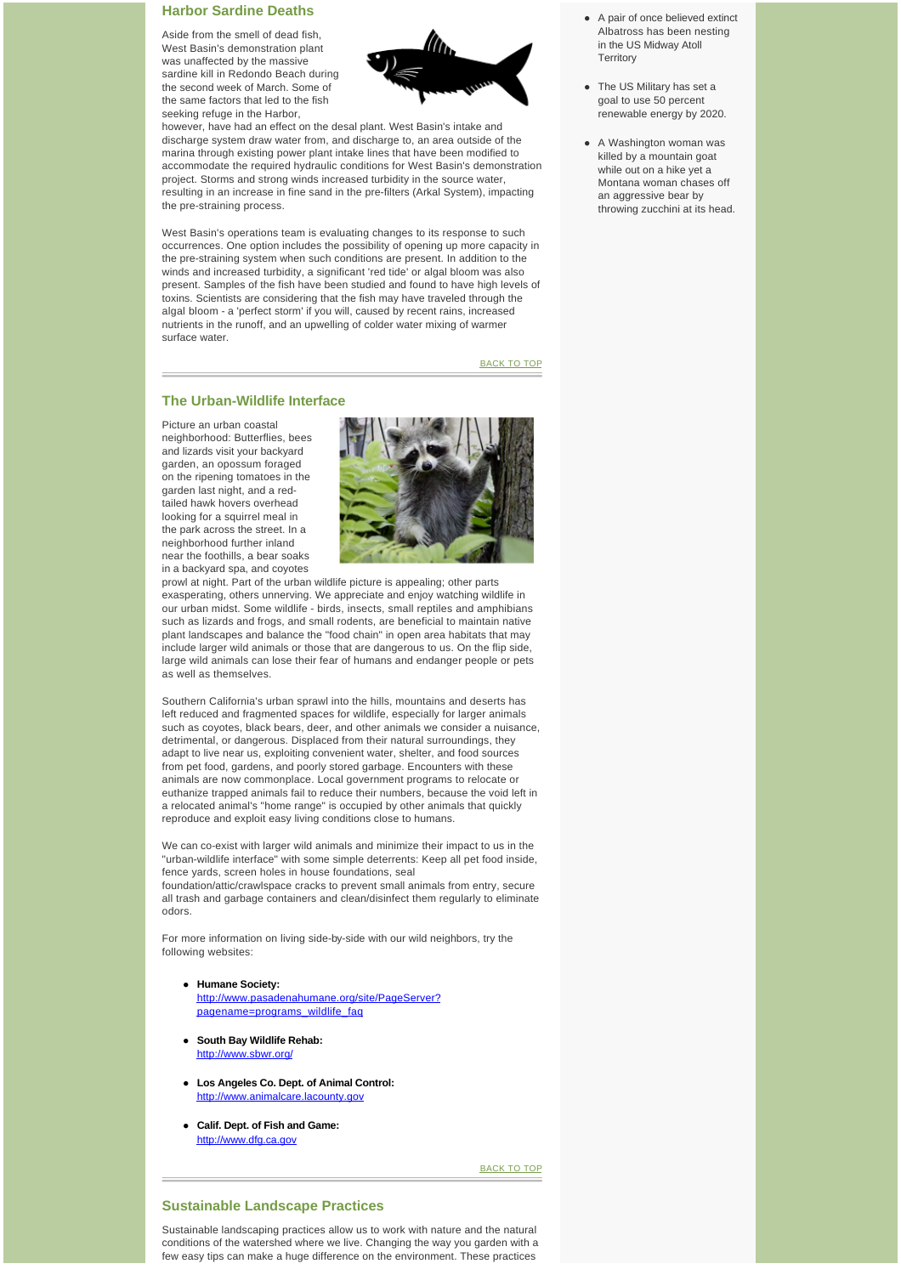## **Harbor Sardine Deaths**

Aside from the smell of dead fish, West Basin's demonstration plant was unaffected by the massive sardine kill in Redondo Beach during the second week of March. Some of the same factors that led to the fish seeking refuge in the Harbor,



however, have had an effect on the desal plant. West Basin's intake and discharge system draw water from, and discharge to, an area outside of the marina through existing power plant intake lines that have been modified to accommodate the required hydraulic conditions for West Basin's demonstration project. Storms and strong winds increased turbidity in the source water, resulting in an increase in fine sand in the pre-filters (Arkal System), impacting the pre-straining process.

West Basin's operations team is evaluating changes to its response to such occurrences. One option includes the possibility of opening up more capacity in the pre-straining system when such conditions are present. In addition to the winds and increased turbidity, a significant 'red tide' or algal bloom was also present. Samples of the fish have been studied and found to have high levels of toxins. Scientists are considering that the fish may have traveled through the algal bloom - a 'perfect storm' if you will, caused by recent rains, increased nutrients in the runoff, and an upwelling of colder water mixing of warmer surface water.

BACK TO TOP

## **The Urban-Wildlife Interface**

Picture an urban coastal neighborhood: Butterflies, bees and lizards visit your backyard garden, an opossum foraged on the ripening tomatoes in the garden last night, and a redtailed hawk hovers overhead looking for a squirrel meal in the park across the street. In a neighborhood further inland near the foothills, a bear soaks in a backyard spa, and coyotes



prowl at night. Part of the urban wildlife picture is appealing; other parts exasperating, others unnerving. We appreciate and enjoy watching wildlife in our urban midst. Some wildlife - birds, insects, small reptiles and amphibians such as lizards and frogs, and small rodents, are beneficial to maintain native plant landscapes and balance the "food chain" in open area habitats that may include larger wild animals or those that are dangerous to us. On the flip side, large wild animals can lose their fear of humans and endanger people or pets as well as themselves.

Southern California's urban sprawl into the hills, mountains and deserts has left reduced and fragmented spaces for wildlife, especially for larger animals such as coyotes, black bears, deer, and other animals we consider a nuisance, detrimental, or dangerous. Displaced from their natural surroundings, they adapt to live near us, exploiting convenient water, shelter, and food sources from pet food, gardens, and poorly stored garbage. Encounters with these animals are now commonplace. Local government programs to relocate or euthanize trapped animals fail to reduce their numbers, because the void left in a relocated animal's "home range" is occupied by other animals that quickly reproduce and exploit easy living conditions close to humans.

We can co-exist with larger wild animals and minimize their impact to us in the "urban-wildlife interface" with some simple deterrents: Keep all pet food inside, fence yards, screen holes in house foundations, seal foundation/attic/crawlspace cracks to prevent small animals from entry, secure all trash and garbage containers and clean/disinfect them regularly to eliminate odors.

For more information on living side-by-side with our wild neighbors, try the following websites:

- **e** Humane Society: [http://www.pasadenahumane.org/site/PageServer?](http://westbasinmunicipalwaterdistrict.createsend1.com/t/r/l/jlkhtdy/l/j/) pagename=programs\_wildlife\_faq
- **.** South Bay Wildlife Rehab: [http://www.sbwr.org/](http://westbasinmunicipalwaterdistrict.createsend1.com/t/r/l/jlkhtdy/l/t/)
- **-** Los Angeles Co. Dept. of Animal Control: [http://www.animalcare.lacounty.gov](http://westbasinmunicipalwaterdistrict.createsend1.com/t/r/l/jlkhtdy/l/i/)
- l **Calif. Dept. of Fish and Game:** [http://www.dfg.ca.gov](http://westbasinmunicipalwaterdistrict.createsend1.com/t/r/l/jlkhtdy/l/d/)

BACK TO TOP

## **Sustainable Landscape Practices**

Sustainable landscaping practices allow us to work with nature and the natural conditions of the watershed where we live. Changing the way you garden with a few easy tips can make a huge difference on the environment. These practices

- A pair of once believed extinct Albatross has been nesting in the US Midway Atoll **Territory**
- The US Military has set a goal to use 50 percent renewable energy by 2020.
- A Washington woman was killed by a mountain goat while out on a hike yet a Montana woman chases off an aggressive bear by throwing zucchini at its head.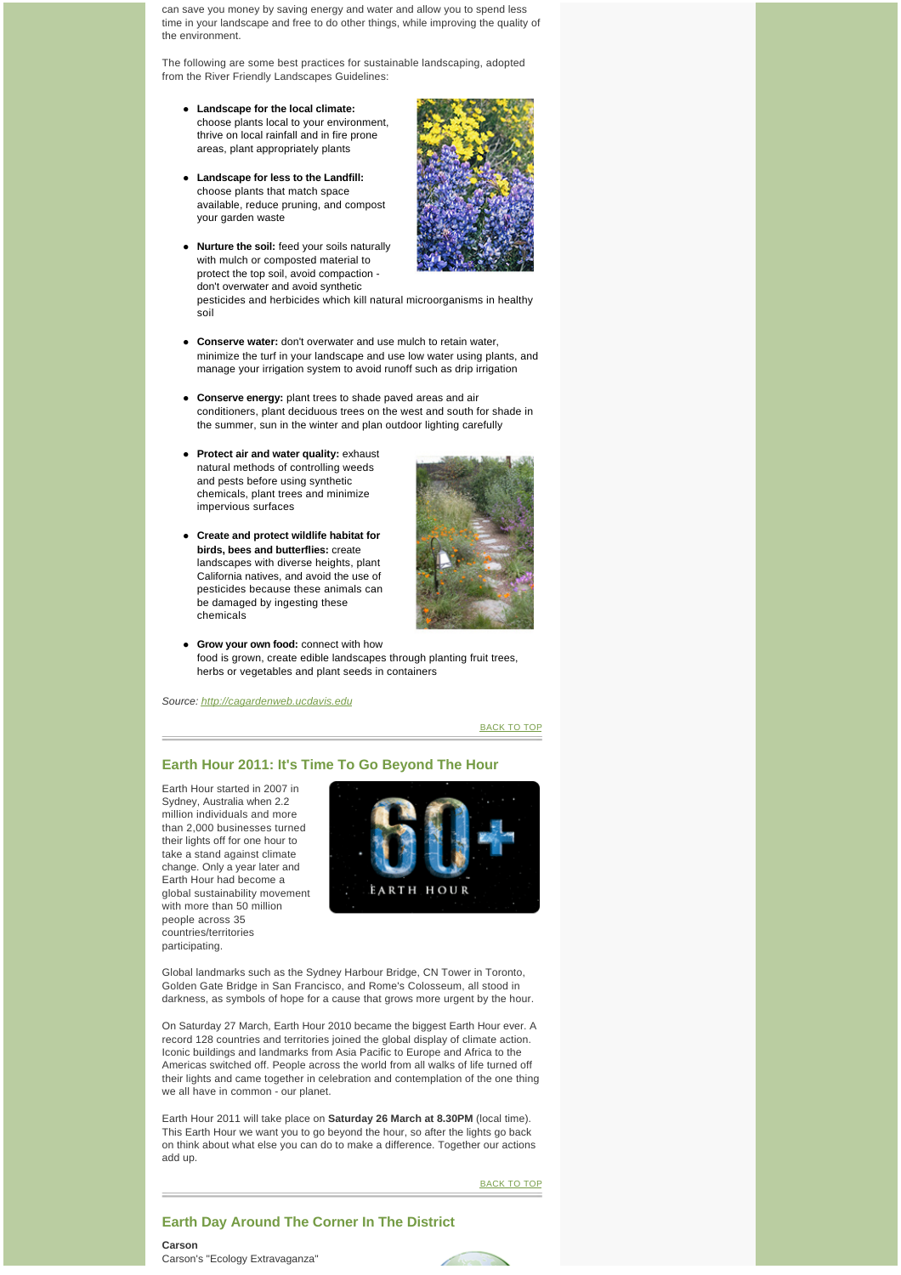can save you money by saving energy and water and allow you to spend less time in your landscape and free to do other things, while improving the quality of the environment.

The following are some best practices for sustainable landscaping, adopted from the River Friendly Landscapes Guidelines:

- **•** Landscape for the local climate: choose plants local to your environment, thrive on local rainfall and in fire prone areas, plant appropriately plants
- **•** Landscape for less to the Landfill: choose plants that match space available, reduce pruning, and compost your garden waste
- **Nurture the soil:** feed your soils naturally with mulch or composted material to protect the top soil, avoid compaction don't overwater and avoid synthetic



pesticides and herbicides which kill natural microorganisms in healthy soil

- **Conserve water:** don't overwater and use mulch to retain water minimize the turf in your landscape and use low water using plants, and manage your irrigation system to avoid runoff such as drip irrigation
- **Conserve energy:** plant trees to shade paved areas and air conditioners, plant deciduous trees on the west and south for shade in the summer, sun in the winter and plan outdoor lighting carefully
- **•** Protect air and water quality: exhaust natural methods of controlling weeds and pests before using synthetic chemicals, plant trees and minimize impervious surfaces
- **•** Create and protect wildlife habitat for **birds, bees and butterflies:** create landscapes with diverse heights, plant California natives, and avoid the use of pesticides because these animals can be damaged by ingesting these chemicals



**e** Grow your own food: connect with how food is grown, create edible landscapes through planting fruit trees, herbs or vegetables and plant seeds in containers

*Source: [http://cagardenweb.ucdavis.edu](http://westbasinmunicipalwaterdistrict.createsend1.com/t/r/l/jlkhtdy/l/h/)*

BACK TO TOP

# **Earth Hour 2011: It's Time To Go Beyond The Hour**

Earth Hour started in 2007 in Sydney, Australia when 2.2 million individuals and more than 2,000 businesses turned their lights off for one hour to take a stand against climate change. Only a year later and Earth Hour had become a global sustainability movement with more than 50 million people across 35 countries/territories participating.



Global landmarks such as the Sydney Harbour Bridge, CN Tower in Toronto, Golden Gate Bridge in San Francisco, and Rome's Colosseum, all stood in darkness, as symbols of hope for a cause that grows more urgent by the hour.

On Saturday 27 March, Earth Hour 2010 became the biggest Earth Hour ever. A record 128 countries and territories joined the global display of climate action. Iconic buildings and landmarks from Asia Pacific to Europe and Africa to the Americas switched off. People across the world from all walks of life turned off their lights and came together in celebration and contemplation of the one thing we all have in common - our planet.

Earth Hour 2011 will take place on **Saturday 26 March at 8.30PM** (local time). This Earth Hour we want you to go beyond the hour, so after the lights go back on think about what else you can do to make a difference. Together our actions add up.

BACK TO TOP

# **Earth Day Around The Corner In The District**

**Carson** Carson's "Ecology Extravaganza"

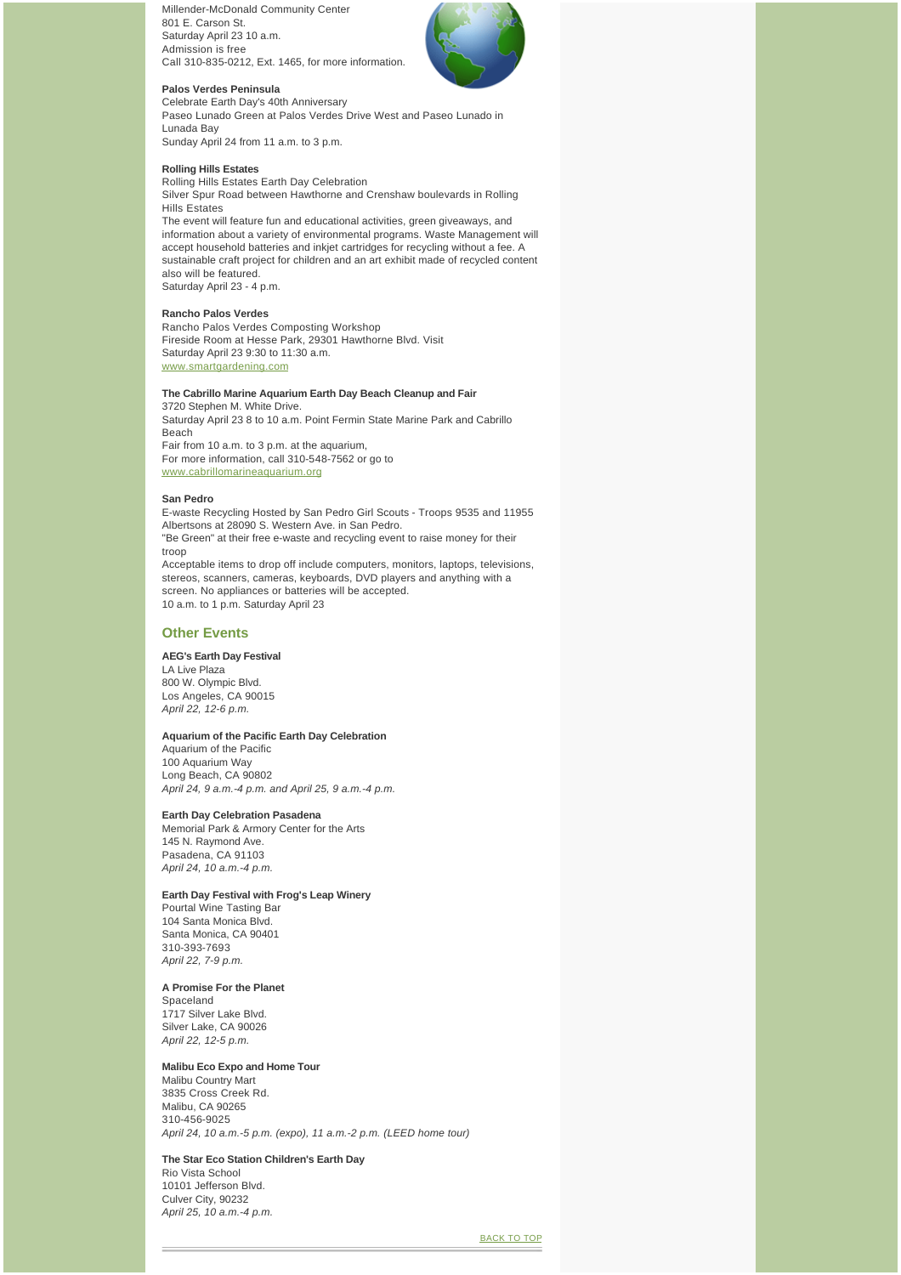Millender-McDonald Community Center 801 E. Carson St. Saturday April 23 10 a.m. Admission is free Call 310-835-0212, Ext. 1465, for more information.



## **Palos Verdes Peninsula**

Celebrate Earth Day's 40th Anniversary Paseo Lunado Green at Palos Verdes Drive West and Paseo Lunado in Lunada Bay Sunday April 24 from 11 a.m. to 3 p.m.

#### **Rolling Hills Estates**

Rolling Hills Estates Earth Day Celebration Silver Spur Road between Hawthorne and Crenshaw boulevards in Rolling Hills Estates The event will feature fun and educational activities, green giveaways, and information about a variety of environmental programs. Waste Management will accept household batteries and inkjet cartridges for recycling without a fee. A sustainable craft project for children and an art exhibit made of recycled content

also will be featured. Saturday April 23 - 4 p.m.

# **Rancho Palos Verdes**

Rancho Palos Verdes Composting Workshop Fireside Room at Hesse Park, 29301 Hawthorne Blvd. Visit Saturday April 23 9:30 to 11:30 a.m. [www.smartgardening.com](http://westbasinmunicipalwaterdistrict.createsend1.com/t/r/l/jlkhtdy/l/k/)

# **The Cabrillo Marine Aquarium Earth Day Beach Cleanup and Fair**

3720 Stephen M. White Drive. Saturday April 23 8 to 10 a.m. Point Fermin State Marine Park and Cabrillo Beach Fair from 10 a.m. to 3 p.m. at the aquarium, For more information, call 310-548-7562 or go to [www.cabrillomarineaquarium.org](http://westbasinmunicipalwaterdistrict.createsend1.com/t/r/l/jlkhtdy/l/u/)

#### **San Pedro**

E-waste Recycling Hosted by San Pedro Girl Scouts - Troops 9535 and 11955 Albertsons at 28090 S. Western Ave. in San Pedro. "Be Green" at their free e-waste and recycling event to raise money for their troop Acceptable items to drop off include computers, monitors, laptops, televisions, stereos, scanners, cameras, keyboards, DVD players and anything with a screen. No appliances or batteries will be accepted. 10 a.m. to 1 p.m. Saturday April 23

# **Other Events**

#### **AEG's Earth Day Festival**

LA Live Plaza 800 W. Olympic Blvd. Los Angeles, CA 90015 *April 22, 12-6 p.m.*

## **Aquarium of the Pacific Earth Day Celebration**

Aquarium of the Pacific 100 Aquarium Way Long Beach, CA 90802 *April 24, 9 a.m.-4 p.m. and April 25, 9 a.m.-4 p.m.*

#### **Earth Day Celebration Pasadena**

Memorial Park & Armory Center for the Arts 145 N. Raymond Ave. Pasadena, CA 91103 *April 24, 10 a.m.-4 p.m.*

#### **Earth Day Festival with Frog's Leap Winery**

Pourtal Wine Tasting Bar 104 Santa Monica Blvd. Santa Monica, CA 90401 310-393-7693 *April 22, 7-9 p.m.*

## **A Promise For the Planet**

Spaceland 1717 Silver Lake Blvd. Silver Lake, CA 90026 *April 22, 12-5 p.m.*

## **Malibu Eco Expo and Home Tour**

Malibu Country Mart 3835 Cross Creek Rd. Malibu, CA 90265 310-456-9025 *April 24, 10 a.m.-5 p.m. (expo), 11 a.m.-2 p.m. (LEED home tour)*

#### **The Star Eco Station Children's Earth Day**

Rio Vista School 10101 Jefferson Blvd. Culver City, 90232 *April 25, 10 a.m.-4 p.m.*